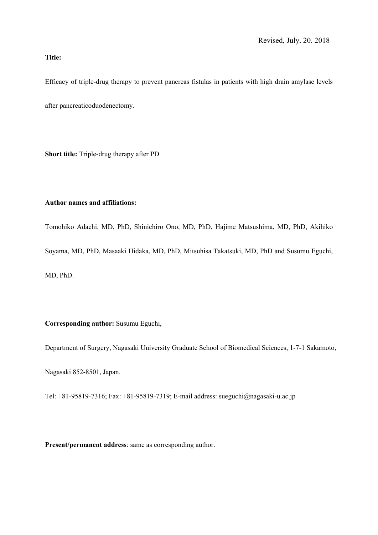# **Title:**

Efficacy of triple-drug therapy to prevent pancreas fistulas in patients with high drain amylase levels after pancreaticoduodenectomy.

**Short title:** Triple-drug therapy after PD

# **Author names and affiliations:**

Tomohiko Adachi, MD, PhD, Shinichiro Ono, MD, PhD, Hajime Matsushima, MD, PhD, Akihiko Soyama, MD, PhD, Masaaki Hidaka, MD, PhD, Mitsuhisa Takatsuki, MD, PhD and Susumu Eguchi, MD, PhD.

**Corresponding author:** Susumu Eguchi,

Department of Surgery, Nagasaki University Graduate School of Biomedical Sciences, 1-7-1 Sakamoto,

Nagasaki 852-8501, Japan.

Tel: +81-95819-7316; Fax: +81-95819-7319; E-mail address: sueguchi@nagasaki-u.ac.jp

**Present/permanent address**: same as corresponding author.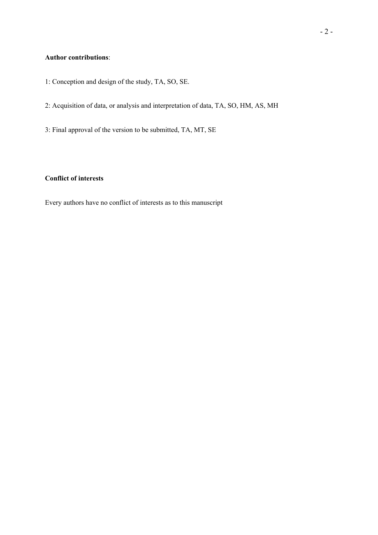# **Author contributions**:

- 1: Conception and design of the study, TA, SO, SE.
- 2: Acquisition of data, or analysis and interpretation of data, TA, SO, HM, AS, MH
- 3: Final approval of the version to be submitted, TA, MT, SE

# **Conflict of interests**

Every authors have no conflict of interests as to this manuscript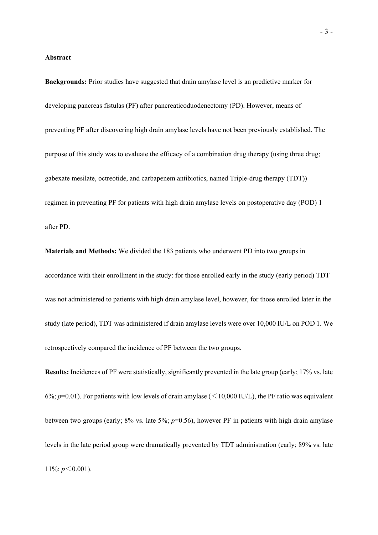#### **Abstract**

**Backgrounds:** Prior studies have suggested that drain amylase level is an predictive marker for developing pancreas fistulas (PF) after pancreaticoduodenectomy (PD). However, means of preventing PF after discovering high drain amylase levels have not been previously established. The purpose of this study was to evaluate the efficacy of a combination drug therapy (using three drug; gabexate mesilate, octreotide, and carbapenem antibiotics, named Triple-drug therapy (TDT)) regimen in preventing PF for patients with high drain amylase levels on postoperative day (POD) 1 after PD.

**Materials and Methods:** We divided the 183 patients who underwent PD into two groups in accordance with their enrollment in the study: for those enrolled early in the study (early period) TDT was not administered to patients with high drain amylase level, however, for those enrolled later in the study (late period), TDT was administered if drain amylase levels were over 10,000 IU/L on POD 1. We retrospectively compared the incidence of PF between the two groups.

**Results:** Incidences of PF were statistically, significantly prevented in the late group (early; 17% vs. late 6%;  $p=0.01$ ). For patients with low levels of drain amylase ( $\leq 10,000$  IU/L), the PF ratio was equivalent between two groups (early; 8% vs. late 5%; *p*=0.56), however PF in patients with high drain amylase levels in the late period group were dramatically prevented by TDT administration (early; 89% vs. late 11%;  $p < 0.001$ ).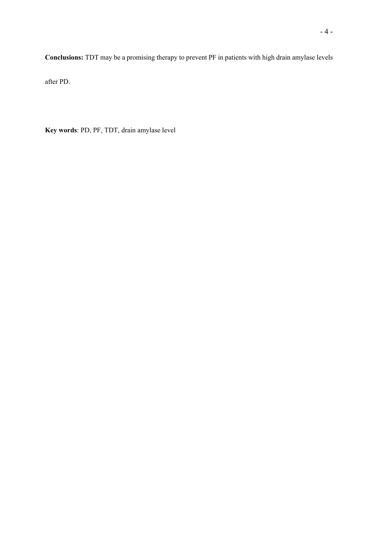**Conclusions:** TDT may be a promising therapy to prevent PF in patients with high drain amylase levels

after PD.

**Key words**: PD, PF, TDT, drain amylase level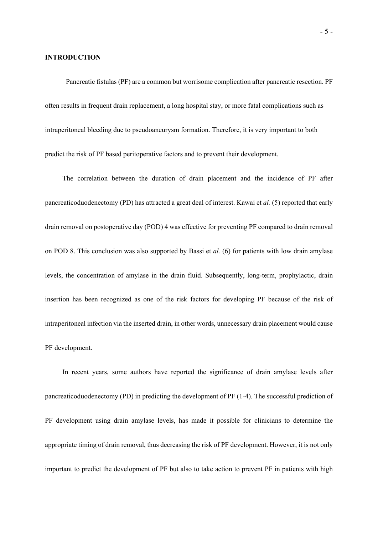#### **INTRODUCTION**

Pancreatic fistulas (PF) are a common but worrisome complication after pancreatic resection. PF often results in frequent drain replacement, a long hospital stay, or more fatal complications such as intraperitoneal bleeding due to pseudoaneurysm formation. Therefore, it is very important to both predict the risk of PF based peritoperative factors and to prevent their development.

The correlation between the duration of drain placement and the incidence of PF after pancreaticoduodenectomy (PD) has attracted a great deal of interest. Kawai et *al.* (5) reported that early drain removal on postoperative day (POD) 4 was effective for preventing PF compared to drain removal on POD 8. This conclusion was also supported by Bassi et *al.* (6) for patients with low drain amylase levels, the concentration of amylase in the drain fluid. Subsequently, long-term, prophylactic, drain insertion has been recognized as one of the risk factors for developing PF because of the risk of intraperitoneal infection via the inserted drain, in other words, unnecessary drain placement would cause PF development.

In recent years, some authors have reported the significance of drain amylase levels after pancreaticoduodenectomy (PD) in predicting the development of PF (1-4). The successful prediction of PF development using drain amylase levels, has made it possible for clinicians to determine the appropriate timing of drain removal, thus decreasing the risk of PF development. However, it is not only important to predict the development of PF but also to take action to prevent PF in patients with high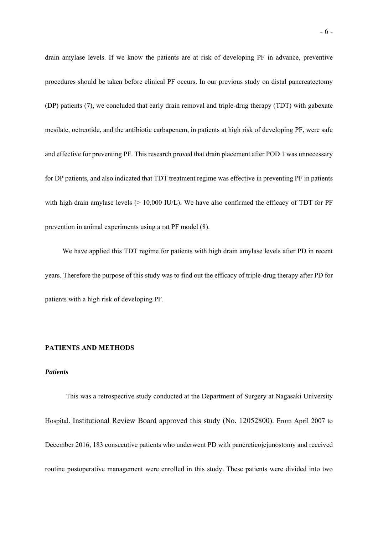drain amylase levels. If we know the patients are at risk of developing PF in advance, preventive procedures should be taken before clinical PF occurs. In our previous study on distal pancreatectomy (DP) patients (7), we concluded that early drain removal and triple-drug therapy (TDT) with gabexate mesilate, octreotide, and the antibiotic carbapenem, in patients at high risk of developing PF, were safe and effective for preventing PF. This research proved that drain placement after POD 1 was unnecessary for DP patients, and also indicated that TDT treatment regime was effective in preventing PF in patients with high drain amylase levels (> 10,000 IU/L). We have also confirmed the efficacy of TDT for PF prevention in animal experiments using a rat PF model (8).

We have applied this TDT regime for patients with high drain amylase levels after PD in recent years. Therefore the purpose of this study was to find out the efficacy of triple-drug therapy after PD for patients with a high risk of developing PF.

#### **PATIENTS AND METHODS**

## *Patients*

This was a retrospective study conducted at the Department of Surgery at Nagasaki University Hospital. Institutional Review Board approved this study (No. 12052800). From April 2007 to December 2016, 183 consecutive patients who underwent PD with pancreticojejunostomy and received routine postoperative management were enrolled in this study. These patients were divided into two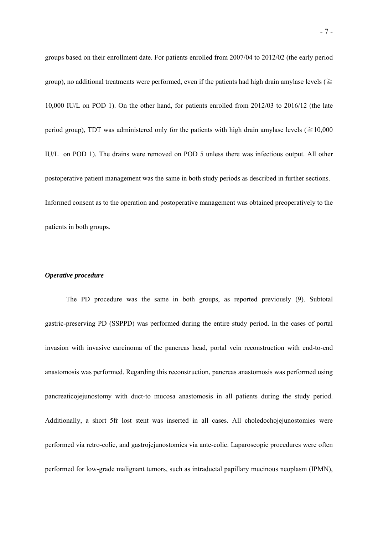groups based on their enrollment date. For patients enrolled from 2007/04 to 2012/02 (the early period group), no additional treatments were performed, even if the patients had high drain amylase levels ( $\ge$ 10,000 IU/L on POD 1). On the other hand, for patients enrolled from 2012/03 to 2016/12 (the late period group), TDT was administered only for the patients with high drain amylase levels ( $\geq 10,000$ IU/L on POD 1). The drains were removed on POD 5 unless there was infectious output. All other postoperative patient management was the same in both study periods as described in further sections. Informed consent as to the operation and postoperative management was obtained preoperatively to the patients in both groups.

## *Operative procedure*

The PD procedure was the same in both groups, as reported previously (9). Subtotal gastric-preserving PD (SSPPD) was performed during the entire study period. In the cases of portal invasion with invasive carcinoma of the pancreas head, portal vein reconstruction with end-to-end anastomosis was performed. Regarding this reconstruction, pancreas anastomosis was performed using pancreaticojejunostomy with duct-to mucosa anastomosis in all patients during the study period. Additionally, a short 5fr lost stent was inserted in all cases. All choledochojejunostomies were performed via retro-colic, and gastrojejunostomies via ante-colic. Laparoscopic procedures were often performed for low-grade malignant tumors, such as intraductal papillary mucinous neoplasm (IPMN),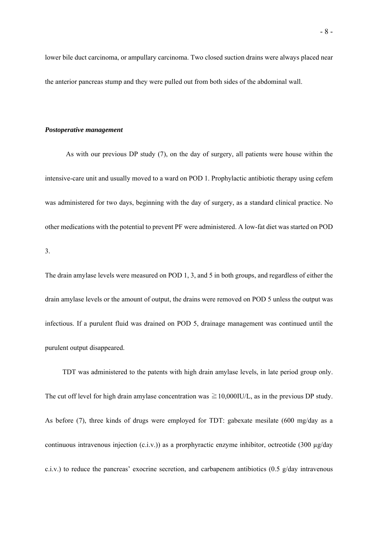lower bile duct carcinoma, or ampullary carcinoma. Two closed suction drains were always placed near the anterior pancreas stump and they were pulled out from both sides of the abdominal wall.

#### *Postoperative management*

As with our previous DP study (7), on the day of surgery, all patients were house within the intensive-care unit and usually moved to a ward on POD 1. Prophylactic antibiotic therapy using cefem was administered for two days, beginning with the day of surgery, as a standard clinical practice. No other medications with the potential to prevent PF were administered. A low-fat diet was started on POD 3.

The drain amylase levels were measured on POD 1, 3, and 5 in both groups, and regardless of either the drain amylase levels or the amount of output, the drains were removed on POD 5 unless the output was infectious. If a purulent fluid was drained on POD 5, drainage management was continued until the purulent output disappeared.

TDT was administered to the patents with high drain amylase levels, in late period group only. The cut off level for high drain amylase concentration was  $\geq 10,000$ IU/L, as in the previous DP study. As before (7), three kinds of drugs were employed for TDT: gabexate mesilate (600 mg/day as a continuous intravenous injection (c.i.v.)) as a prorphyractic enzyme inhibitor, octreotide (300 µg/day c.i.v.) to reduce the pancreas' exocrine secretion, and carbapenem antibiotics  $(0.5 \text{ g/day}$  intravenous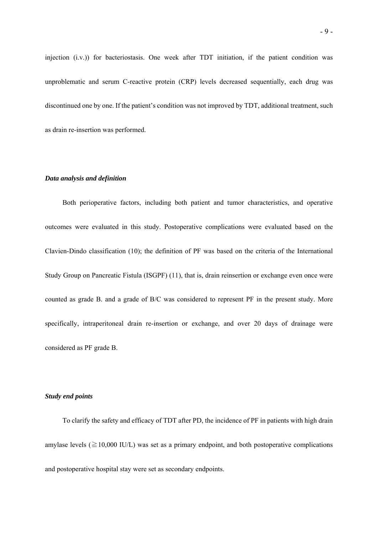injection (i.v.)) for bacteriostasis. One week after TDT initiation, if the patient condition was unproblematic and serum C-reactive protein (CRP) levels decreased sequentially, each drug was discontinued one by one. If the patient's condition was not improved by TDT, additional treatment, such as drain re-insertion was performed.

# *Data analysis and definition*

Both perioperative factors, including both patient and tumor characteristics, and operative outcomes were evaluated in this study. Postoperative complications were evaluated based on the Clavien-Dindo classification (10); the definition of PF was based on the criteria of the International Study Group on Pancreatic Fistula (ISGPF) (11), that is, drain reinsertion or exchange even once were counted as grade B. and a grade of B/C was considered to represent PF in the present study. More specifically, intraperitoneal drain re-insertion or exchange, and over 20 days of drainage were considered as PF grade B.

## *Study end points*

To clarify the safety and efficacy of TDT after PD, the incidence of PF in patients with high drain amylase levels ( $\geq$ 10,000 IU/L) was set as a primary endpoint, and both postoperative complications and postoperative hospital stay were set as secondary endpoints.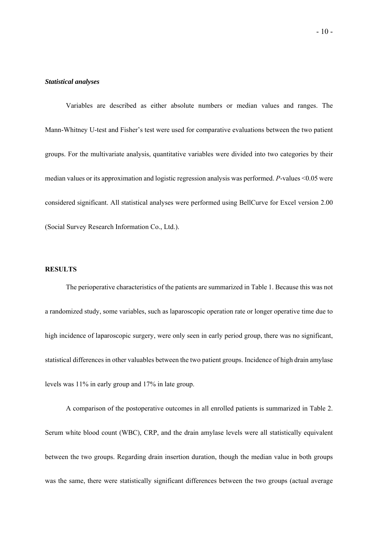#### *Statistical analyses*

Variables are described as either absolute numbers or median values and ranges. The Mann-Whitney U-test and Fisher's test were used for comparative evaluations between the two patient groups. For the multivariate analysis, quantitative variables were divided into two categories by their median values or its approximation and logistic regression analysis was performed. *P*-values <0.05 were considered significant. All statistical analyses were performed using BellCurve for Excel version 2.00 (Social Survey Research Information Co., Ltd.).

## **RESULTS**

The perioperative characteristics of the patients are summarized in Table 1. Because this was not a randomized study, some variables, such as laparoscopic operation rate or longer operative time due to high incidence of laparoscopic surgery, were only seen in early period group, there was no significant, statistical differences in other valuables between the two patient groups. Incidence of high drain amylase levels was 11% in early group and 17% in late group.

A comparison of the postoperative outcomes in all enrolled patients is summarized in Table 2. Serum white blood count (WBC), CRP, and the drain amylase levels were all statistically equivalent between the two groups. Regarding drain insertion duration, though the median value in both groups was the same, there were statistically significant differences between the two groups (actual average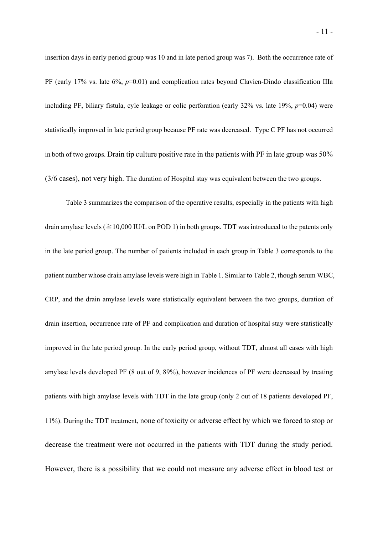insertion days in early period group was 10 and in late period group was 7). Both the occurrence rate of PF (early 17% vs. late 6%, *p*=0.01) and complication rates beyond Clavien-Dindo classification IIIa including PF, biliary fistula, cyle leakage or colic perforation (early 32% vs. late 19%, *p*=0.04) were statistically improved in late period group because PF rate was decreased. Type C PF has not occurred in both of two groups. Drain tip culture positive rate in the patients with PF in late group was 50% (3/6 cases), not very high. The duration of Hospital stay was equivalent between the two groups.

Table 3 summarizes the comparison of the operative results, especially in the patients with high drain amylase levels ( $\geq$  10,000 IU/L on POD 1) in both groups. TDT was introduced to the patents only in the late period group. The number of patients included in each group in Table 3 corresponds to the patient number whose drain amylase levels were high in Table 1. Similar to Table 2, though serum WBC, CRP, and the drain amylase levels were statistically equivalent between the two groups, duration of drain insertion, occurrence rate of PF and complication and duration of hospital stay were statistically improved in the late period group. In the early period group, without TDT, almost all cases with high amylase levels developed PF (8 out of 9, 89%), however incidences of PF were decreased by treating patients with high amylase levels with TDT in the late group (only 2 out of 18 patients developed PF, 11%). During the TDT treatment, none of toxicity or adverse effect by which we forced to stop or decrease the treatment were not occurred in the patients with TDT during the study period. However, there is a possibility that we could not measure any adverse effect in blood test or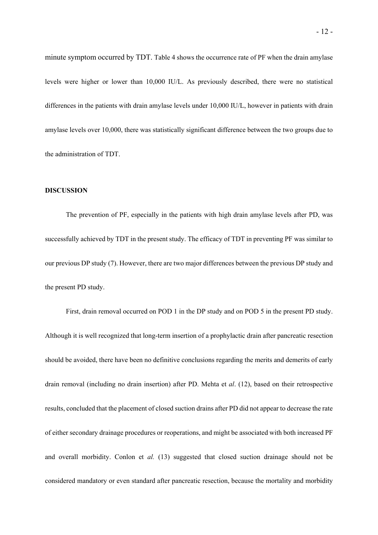minute symptom occurred by TDT. Table 4 shows the occurrence rate of PF when the drain amylase levels were higher or lower than 10,000 IU/L. As previously described, there were no statistical differences in the patients with drain amylase levels under 10,000 IU/L, however in patients with drain amylase levels over 10,000, there was statistically significant difference between the two groups due to the administration of TDT.

## **DISCUSSION**

The prevention of PF, especially in the patients with high drain amylase levels after PD, was successfully achieved by TDT in the present study. The efficacy of TDT in preventing PF was similar to our previous DP study (7). However, there are two major differences between the previous DP study and the present PD study.

First, drain removal occurred on POD 1 in the DP study and on POD 5 in the present PD study. Although it is well recognized that long-term insertion of a prophylactic drain after pancreatic resection should be avoided, there have been no definitive conclusions regarding the merits and demerits of early drain removal (including no drain insertion) after PD. Mehta et *al*. (12), based on their retrospective results, concluded that the placement of closed suction drains after PD did not appear to decrease the rate of either secondary drainage procedures or reoperations, and might be associated with both increased PF and overall morbidity. Conlon et *al.* (13) suggested that closed suction drainage should not be considered mandatory or even standard after pancreatic resection, because the mortality and morbidity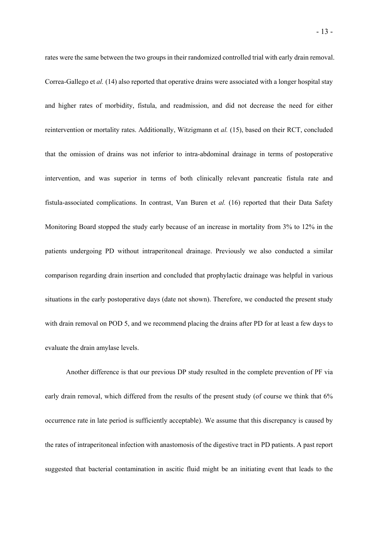rates were the same between the two groups in their randomized controlled trial with early drain removal. Correa-Gallego et *al.* (14) also reported that operative drains were associated with a longer hospital stay and higher rates of morbidity, fistula, and readmission, and did not decrease the need for either reintervention or mortality rates. Additionally, Witzigmann et *al.* (15), based on their RCT, concluded that the omission of drains was not inferior to intra-abdominal drainage in terms of postoperative intervention, and was superior in terms of both clinically relevant pancreatic fistula rate and fistula-associated complications. In contrast, Van Buren et *al.* (16) reported that their Data Safety Monitoring Board stopped the study early because of an increase in mortality from 3% to 12% in the patients undergoing PD without intraperitoneal drainage. Previously we also conducted a similar comparison regarding drain insertion and concluded that prophylactic drainage was helpful in various situations in the early postoperative days (date not shown). Therefore, we conducted the present study with drain removal on POD 5, and we recommend placing the drains after PD for at least a few days to

evaluate the drain amylase levels.

Another difference is that our previous DP study resulted in the complete prevention of PF via early drain removal, which differed from the results of the present study (of course we think that 6% occurrence rate in late period is sufficiently acceptable). We assume that this discrepancy is caused by the rates of intraperitoneal infection with anastomosis of the digestive tract in PD patients. A past report suggested that bacterial contamination in ascitic fluid might be an initiating event that leads to the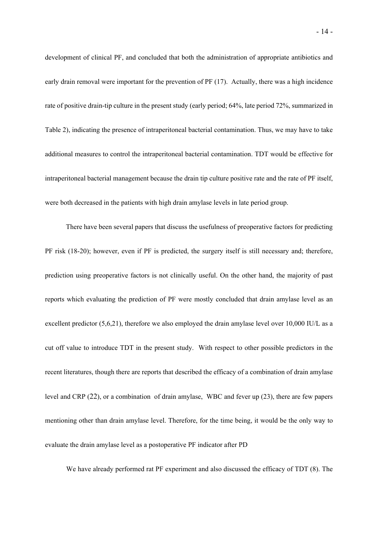development of clinical PF, and concluded that both the administration of appropriate antibiotics and early drain removal were important for the prevention of PF (17). Actually, there was a high incidence rate of positive drain-tip culture in the present study (early period; 64%, late period 72%, summarized in Table 2), indicating the presence of intraperitoneal bacterial contamination. Thus, we may have to take additional measures to control the intraperitoneal bacterial contamination. TDT would be effective for intraperitoneal bacterial management because the drain tip culture positive rate and the rate of PF itself, were both decreased in the patients with high drain amylase levels in late period group.

There have been several papers that discuss the usefulness of preoperative factors for predicting PF risk (18-20); however, even if PF is predicted, the surgery itself is still necessary and; therefore, prediction using preoperative factors is not clinically useful. On the other hand, the majority of past reports which evaluating the prediction of PF were mostly concluded that drain amylase level as an excellent predictor (5,6,21), therefore we also employed the drain amylase level over 10,000 IU/L as a cut off value to introduce TDT in the present study. With respect to other possible predictors in the recent literatures, though there are reports that described the efficacy of a combination of drain amylase level and CRP (22), or a combination of drain amylase, WBC and fever up (23), there are few papers mentioning other than drain amylase level. Therefore, for the time being, it would be the only way to evaluate the drain amylase level as a postoperative PF indicator after PD

We have already performed rat PF experiment and also discussed the efficacy of TDT (8). The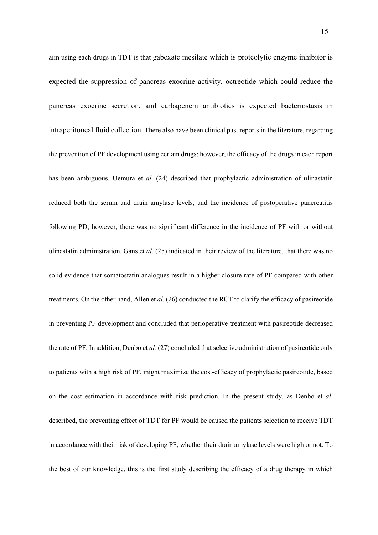aim using each drugs in TDT is that gabexate mesilate which is proteolytic enzyme inhibitor is expected the suppression of pancreas exocrine activity, octreotide which could reduce the pancreas exocrine secretion, and carbapenem antibiotics is expected bacteriostasis in intraperitoneal fluid collection. There also have been clinical past reports in the literature, regarding the prevention of PF development using certain drugs; however, the efficacy of the drugs in each report has been ambiguous. Uemura et *al.* (24) described that prophylactic administration of ulinastatin reduced both the serum and drain amylase levels, and the incidence of postoperative pancreatitis following PD; however, there was no significant difference in the incidence of PF with or without ulinastatin administration. Gans et *al.* (25) indicated in their review of the literature, that there was no solid evidence that somatostatin analogues result in a higher closure rate of PF compared with other treatments. On the other hand, Allen et *al.* (26) conducted the RCT to clarify the efficacy of pasireotide in preventing PF development and concluded that perioperative treatment with pasireotide decreased the rate of PF. In addition, Denbo et *al.* (27) concluded that selective administration of pasireotide only to patients with a high risk of PF, might maximize the cost-efficacy of prophylactic pasireotide, based on the cost estimation in accordance with risk prediction. In the present study, as Denbo et *al*. described, the preventing effect of TDT for PF would be caused the patients selection to receive TDT in accordance with their risk of developing PF, whether their drain amylase levels were high or not. To the best of our knowledge, this is the first study describing the efficacy of a drug therapy in which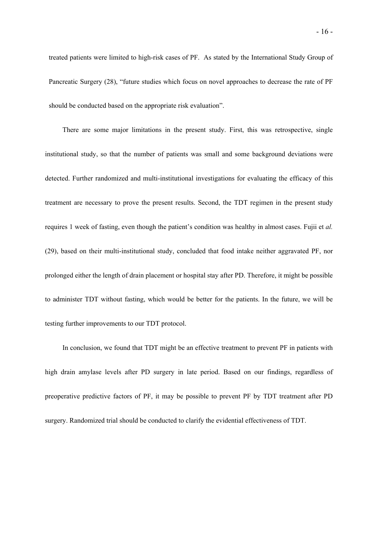treated patients were limited to high-risk cases of PF. As stated by the International Study Group of Pancreatic Surgery (28), "future studies which focus on novel approaches to decrease the rate of PF should be conducted based on the appropriate risk evaluation".

There are some major limitations in the present study. First, this was retrospective, single institutional study, so that the number of patients was small and some background deviations were detected. Further randomized and multi-institutional investigations for evaluating the efficacy of this treatment are necessary to prove the present results. Second, the TDT regimen in the present study requires 1 week of fasting, even though the patient's condition was healthy in almost cases. Fujii et *al.* (29), based on their multi-institutional study, concluded that food intake neither aggravated PF, nor prolonged either the length of drain placement or hospital stay after PD. Therefore, it might be possible to administer TDT without fasting, which would be better for the patients. In the future, we will be testing further improvements to our TDT protocol.

In conclusion, we found that TDT might be an effective treatment to prevent PF in patients with high drain amylase levels after PD surgery in late period. Based on our findings, regardless of preoperative predictive factors of PF, it may be possible to prevent PF by TDT treatment after PD surgery. Randomized trial should be conducted to clarify the evidential effectiveness of TDT.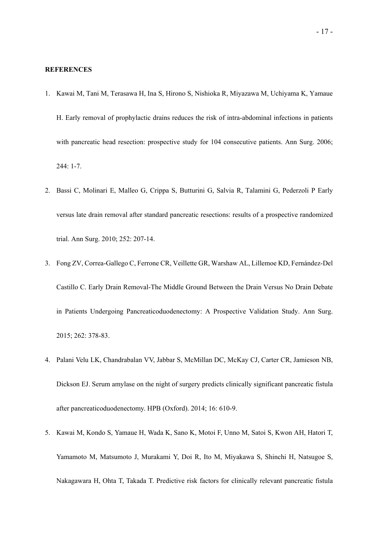#### **REFERENCES**

- 1. Kawai M, Tani M, Terasawa H, Ina S, Hirono S, Nishioka R, Miyazawa M, Uchiyama K, Yamaue H. Early removal of prophylactic drains reduces the risk of intra-abdominal infections in patients with pancreatic head resection: prospective study for 104 consecutive patients. Ann Surg. 2006; 244: 1-7.
- 2. Bassi C, Molinari E, Malleo G, Crippa S, Butturini G, Salvia R, Talamini G, Pederzoli P Early versus late drain removal after standard pancreatic resections: results of a prospective randomized trial. Ann Surg. 2010; 252: 207-14.
- 3. Fong ZV, Correa-Gallego C, Ferrone CR, Veillette GR, Warshaw AL, Lillemoe KD, Fernández-Del Castillo C. Early Drain Removal-The Middle Ground Between the Drain Versus No Drain Debate in Patients Undergoing Pancreaticoduodenectomy: A Prospective Validation Study. Ann Surg. 2015; 262: 378-83.
- 4. Palani Velu LK, Chandrabalan VV, Jabbar S, McMillan DC, McKay CJ, Carter CR, Jamieson NB, Dickson EJ. Serum amylase on the night of surgery predicts clinically significant pancreatic fistula after pancreaticoduodenectomy. HPB (Oxford). 2014; 16: 610-9.
- 5. Kawai M, Kondo S, Yamaue H, Wada K, Sano K, Motoi F, Unno M, Satoi S, Kwon AH, Hatori T, Yamamoto M, Matsumoto J, Murakami Y, Doi R, Ito M, Miyakawa S, Shinchi H, Natsugoe S, Nakagawara H, Ohta T, Takada T. Predictive risk factors for clinically relevant pancreatic fistula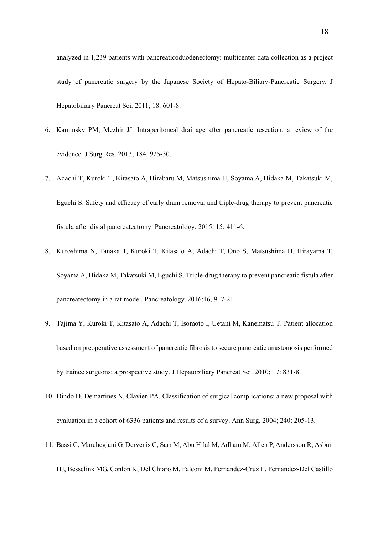analyzed in 1,239 patients with pancreaticoduodenectomy: multicenter data collection as a project study of pancreatic surgery by the Japanese Society of Hepato-Biliary-Pancreatic Surgery. J Hepatobiliary Pancreat Sci. 2011; 18: 601-8.

- 6. Kaminsky PM, Mezhir JJ. Intraperitoneal drainage after pancreatic resection: a review of the evidence. J Surg Res. 2013; 184: 925-30.
- 7. Adachi T, Kuroki T, Kitasato A, Hirabaru M, Matsushima H, Soyama A, Hidaka M, Takatsuki M, Eguchi S. Safety and efficacy of early drain removal and triple-drug therapy to prevent pancreatic fistula after distal pancreatectomy. Pancreatology. 2015; 15: 411-6.
- 8. Kuroshima N, Tanaka T, Kuroki T, Kitasato A, Adachi T, Ono S, Matsushima H, Hirayama T, Soyama A, Hidaka M, Takatsuki M, Eguchi S. Triple-drug therapy to prevent pancreatic fistula after pancreatectomy in a rat model. Pancreatology. 2016;16, 917-21
- 9. Tajima Y, Kuroki T, Kitasato A, Adachi T, Isomoto I, Uetani M, Kanematsu T. Patient allocation based on preoperative assessment of pancreatic fibrosis to secure pancreatic anastomosis performed by trainee surgeons: a prospective study. J Hepatobiliary Pancreat Sci. 2010; 17: 831-8.
- 10. Dindo D, Demartines N, Clavien PA. Classification of surgical complications: a new proposal with evaluation in a cohort of 6336 patients and results of a survey. Ann Surg. 2004; 240: 205-13.
- 11. Bassi C, Marchegiani G, Dervenis C, Sarr M, Abu Hilal M, Adham M, Allen P, Andersson R, Asbun HJ, Besselink MG, Conlon K, Del Chiaro M, Falconi M, Fernandez-Cruz L, Fernandez-Del Castillo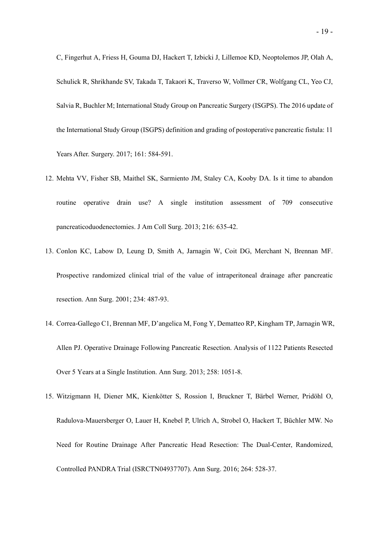C, Fingerhut A, Friess H, Gouma DJ, Hackert T, Izbicki J, Lillemoe KD, Neoptolemos JP, Olah A, Schulick R, Shrikhande SV, Takada T, Takaori K, Traverso W, Vollmer CR, Wolfgang CL, Yeo CJ, Salvia R, Buchler M; International Study Group on Pancreatic Surgery (ISGPS). The 2016 update of the International Study Group (ISGPS) definition and grading of postoperative pancreatic fistula: 11 Years After. Surgery. 2017; 161: 584-591.

- 12. Mehta VV, Fisher SB, Maithel SK, Sarmiento JM, Staley CA, Kooby DA. Is it time to abandon routine operative drain use? A single institution assessment of 709 consecutive pancreaticoduodenectomies. J Am Coll Surg. 2013; 216: 635-42.
- 13. Conlon KC, Labow D, Leung D, Smith A, Jarnagin W, Coit DG, Merchant N, Brennan MF. Prospective randomized clinical trial of the value of intraperitoneal drainage after pancreatic resection. Ann Surg. 2001; 234: 487-93.
- 14. Correa-Gallego C1, Brennan MF, D'angelica M, Fong Y, Dematteo RP, Kingham TP, Jarnagin WR, Allen PJ. Operative Drainage Following Pancreatic Resection. Analysis of 1122 Patients Resected Over 5 Years at a Single Institution. Ann Surg. 2013; 258: 1051-8.
- 15. Witzigmann H, Diener MK, Kienkötter S, Rossion I, Bruckner T, Bärbel Werner, Pridöhl O, Radulova-Mauersberger O, Lauer H, Knebel P, Ulrich A, Strobel O, Hackert T, Büchler MW. No Need for Routine Drainage After Pancreatic Head Resection: The Dual-Center, Randomized, Controlled PANDRA Trial (ISRCTN04937707). Ann Surg. 2016; 264: 528-37.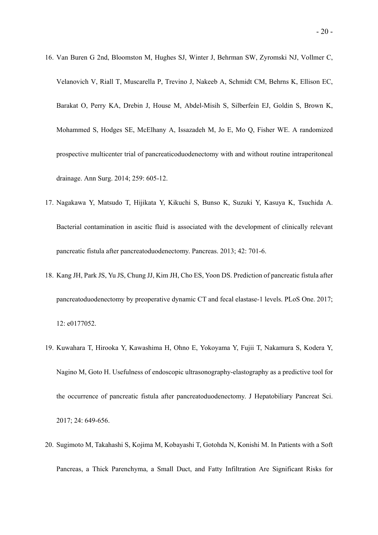- 16. Van Buren G 2nd, Bloomston M, Hughes SJ, Winter J, Behrman SW, Zyromski NJ, Vollmer C, Velanovich V, Riall T, Muscarella P, Trevino J, Nakeeb A, Schmidt CM, Behrns K, Ellison EC, Barakat O, Perry KA, Drebin J, House M, Abdel-Misih S, Silberfein EJ, Goldin S, Brown K, Mohammed S, Hodges SE, McElhany A, Issazadeh M, Jo E, Mo Q, Fisher WE. A randomized prospective multicenter trial of pancreaticoduodenectomy with and without routine intraperitoneal drainage. Ann Surg. 2014; 259: 605-12.
- 17. Nagakawa Y, Matsudo T, Hijikata Y, Kikuchi S, Bunso K, Suzuki Y, Kasuya K, Tsuchida A. Bacterial contamination in ascitic fluid is associated with the development of clinically relevant pancreatic fistula after pancreatoduodenectomy. Pancreas. 2013; 42: 701-6.
- 18. Kang JH, Park JS, Yu JS, Chung JJ, Kim JH, Cho ES, Yoon DS. Prediction of pancreatic fistula after pancreatoduodenectomy by preoperative dynamic CT and fecal elastase-1 levels. PLoS One. 2017; 12: e0177052.
- 19. Kuwahara T, Hirooka Y, Kawashima H, Ohno E, Yokoyama Y, Fujii T, Nakamura S, Kodera Y, Nagino M, Goto H. Usefulness of endoscopic ultrasonography-elastography as a predictive tool for the occurrence of pancreatic fistula after pancreatoduodenectomy. J Hepatobiliary Pancreat Sci. 2017; 24: 649-656.
- 20. Sugimoto M, Takahashi S, Kojima M, Kobayashi T, Gotohda N, Konishi M. In Patients with a Soft Pancreas, a Thick Parenchyma, a Small Duct, and Fatty Infiltration Are Significant Risks for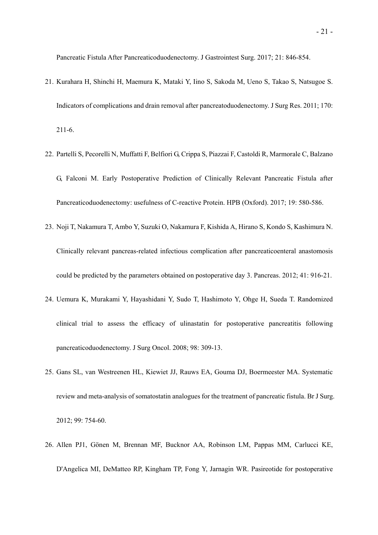Pancreatic Fistula After Pancreaticoduodenectomy. J Gastrointest Surg. 2017; 21: 846-854.

- 21. Kurahara H, Shinchi H, Maemura K, Mataki Y, Iino S, Sakoda M, Ueno S, Takao S, Natsugoe S. Indicators of complications and drain removal after pancreatoduodenectomy. J Surg Res. 2011; 170: 211-6.
- 22. Partelli S, Pecorelli N, Muffatti F, Belfiori G, Crippa S, Piazzai F, Castoldi R, Marmorale C, Balzano G, Falconi M. Early Postoperative Prediction of Clinically Relevant Pancreatic Fistula after Pancreaticoduodenectomy: usefulness of C-reactive Protein. HPB (Oxford). 2017; 19: 580-586.
- 23. Noji T, Nakamura T, Ambo Y, Suzuki O, Nakamura F, Kishida A, Hirano S, Kondo S, Kashimura N. Clinically relevant pancreas-related infectious complication after pancreaticoenteral anastomosis could be predicted by the parameters obtained on postoperative day 3. Pancreas. 2012; 41: 916-21.
- 24. Uemura K, Murakami Y, Hayashidani Y, Sudo T, Hashimoto Y, Ohge H, Sueda T. Randomized clinical trial to assess the efficacy of ulinastatin for postoperative pancreatitis following pancreaticoduodenectomy. J Surg Oncol. 2008; 98: 309-13.
- 25. Gans SL, van Westreenen HL, Kiewiet JJ, Rauws EA, Gouma DJ, Boermeester MA. Systematic review and meta-analysis of somatostatin analogues for the treatment of pancreatic fistula. Br J Surg. 2012; 99: 754-60.
- 26. Allen PJ1, Gönen M, Brennan MF, Bucknor AA, Robinson LM, Pappas MM, Carlucci KE, D'Angelica MI, DeMatteo RP, Kingham TP, Fong Y, Jarnagin WR. Pasireotide for postoperative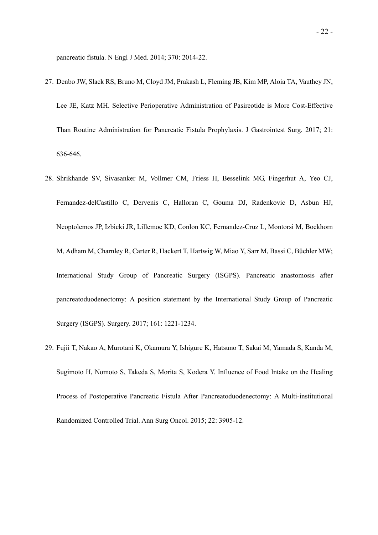pancreatic fistula. N Engl J Med. 2014; 370: 2014-22.

- 27. Denbo JW, Slack RS, Bruno M, Cloyd JM, Prakash L, Fleming JB, Kim MP, Aloia TA, Vauthey JN, Lee JE, Katz MH. Selective Perioperative Administration of Pasireotide is More Cost-Effective Than Routine Administration for Pancreatic Fistula Prophylaxis. J Gastrointest Surg. 2017; 21: 636-646.
- 28. Shrikhande SV, Sivasanker M, Vollmer CM, Friess H, Besselink MG, Fingerhut A, Yeo CJ, Fernandez-delCastillo C, Dervenis C, Halloran C, Gouma DJ, Radenkovic D, Asbun HJ, Neoptolemos JP, Izbicki JR, Lillemoe KD, Conlon KC, Fernandez-Cruz L, Montorsi M, Bockhorn M, Adham M, Charnley R, Carter R, Hackert T, Hartwig W, Miao Y, Sarr M, Bassi C, Büchler MW; International Study Group of Pancreatic Surgery (ISGPS). Pancreatic anastomosis after pancreatoduodenectomy: A position statement by the International Study Group of Pancreatic Surgery (ISGPS). Surgery. 2017; 161: 1221-1234.
- 29. Fujii T, Nakao A, Murotani K, Okamura Y, Ishigure K, Hatsuno T, Sakai M, Yamada S, Kanda M, Sugimoto H, Nomoto S, Takeda S, Morita S, Kodera Y. Influence of Food Intake on the Healing Process of Postoperative Pancreatic Fistula After Pancreatoduodenectomy: A Multi-institutional Randomized Controlled Trial. Ann Surg Oncol. 2015; 22: 3905-12.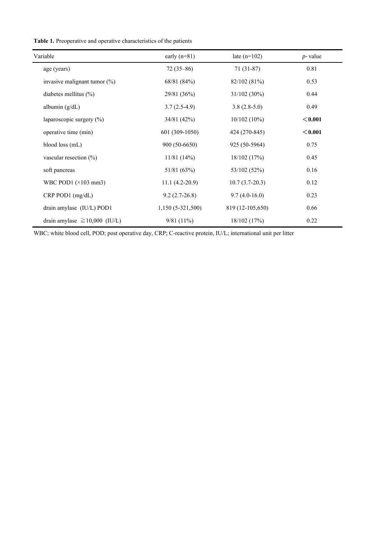**Table 1.** Preoperative and operative characteristics of the patients

| Variable                            | early $(n=81)$      | late $(n=102)$   | $p$ -value |
|-------------------------------------|---------------------|------------------|------------|
| age (years)                         | $72(35-86)$         | $71(31-87)$      | 0.81       |
| invasive malignant tumor $(\%)$     | 68/81 (84%)         | 82/102 (81%)     | 0.53       |
| diabetes mellitus $(\%)$            | 29/81 (36%)         | $31/102(30\%)$   | 0.44       |
| albumin $(g/dL)$                    | $3.7(2.5-4.9)$      | $3.8(2.8-5.0)$   | 0.49       |
| laparoscopic surgery $(\%)$         | 34/81(42%)          | 10/102(10%)      | < 0.001    |
| operative time (min)                | 601 (309-1050)      | 424 (270-845)    | < 0.001    |
| blood loss (mL)                     | 900 (50-6650)       | 925 (50-5964)    | 0.75       |
| vascular resection $(\%)$           | 11/81(14%)          | 18/102(17%)      | 0.45       |
| soft pancreas                       | 51/81 (63%)         | 53/102 (52%)     | 0.16       |
| WBC POD1 $(\times 103 \text{ mm3})$ | $11.1 (4.2 - 20.9)$ | $10.7(3.7-20.3)$ | 0.12       |
| $CRP$ POD1 $(mg/dL)$                | $9.2(2.7-26.8)$     | $9.7(4.0-16.0)$  | 0.23       |
| drain amylase (IU/L) POD1           | $1,150(5-321,500)$  | 819 (12-105,650) | 0.66       |
| drain amylase $\geq 10,000$ (IU/L)  | $9/81(11\%)$        | 18/102(17%)      | 0.22       |

WBC; white blood cell, POD; post operative day, CRP; C-reactive protein, IU/L; international unit per litter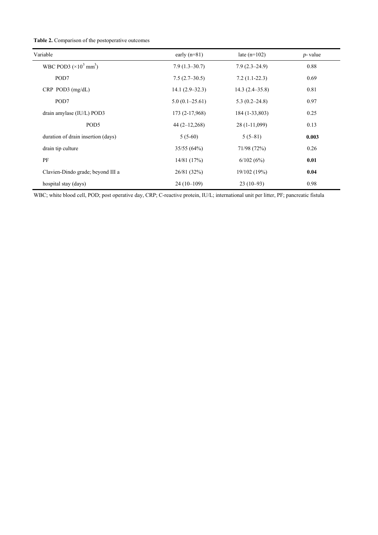|  | <b>Table 2.</b> Comparison of the postoperative outcomes |  |  |  |
|--|----------------------------------------------------------|--|--|--|
|--|----------------------------------------------------------|--|--|--|

| Variable                              | early $(n=81)$   | late $(n=102)$     | $p$ -value |
|---------------------------------------|------------------|--------------------|------------|
| WBC POD3 $(\times 10^3 \text{ mm}^3)$ | $7.9(1.3-30.7)$  | $7.9(2.3-24.9)$    | 0.88       |
| POD7                                  | $7.5(2.7-30.5)$  | $7.2(1.1-22.3)$    | 0.69       |
| $CRP$ POD3 $(mg/dL)$                  | $14.1(2.9-32.3)$ | $14.3(2.4 - 35.8)$ | 0.81       |
| POD7                                  | $5.0(0.1-25.61)$ | $5.3(0.2 - 24.8)$  | 0.97       |
| drain amylase (IU/L) POD3             | 173 (2-17,968)   | 184 (1-33,803)     | 0.25       |
| POD <sub>5</sub>                      | $44(2-12,268)$   | 28 (1-11,099)      | 0.13       |
| duration of drain insertion (days)    | $5(5-60)$        | $5(5-81)$          | 0.003      |
| drain tip culture                     | 35/55(64%)       | 71/98 (72%)        | 0.26       |
| PF                                    | 14/81(17%)       | 6/102(6%)          | 0.01       |
| Clavien-Dindo grade; beyond III a     | 26/81 (32%)      | 19/102 (19%)       | 0.04       |
| hospital stay (days)                  | $24(10-109)$     | $23(10-93)$        | 0.98       |

WBC; white blood cell, POD; post operative day, CRP; C-reactive protein, IU/L; international unit per litter, PF; pancreatic fistula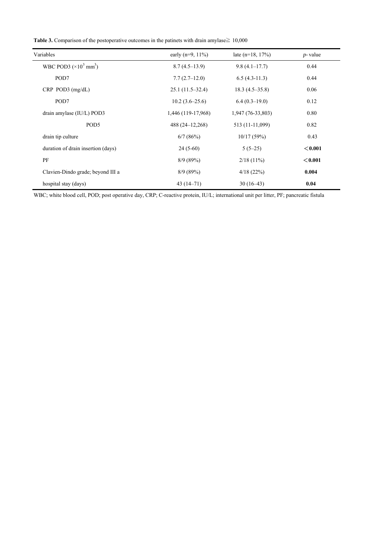|  | <b>Table 3.</b> Comparison of the postoperative outcomes in the patinets with drain amylase $\geq 10,000$ |  |  |
|--|-----------------------------------------------------------------------------------------------------------|--|--|
|--|-----------------------------------------------------------------------------------------------------------|--|--|

| Variables                             | early ( $n=9$ , 11%) | late $(n=18, 17%)$ | $p$ - value |
|---------------------------------------|----------------------|--------------------|-------------|
| WBC POD3 $(\times 10^3 \text{ mm}^3)$ | $8.7(4.5-13.9)$      | $9.8(4.1-17.7)$    | 0.44        |
| POD7                                  | $7.7(2.7-12.0)$      | $6.5(4.3-11.3)$    | 0.44        |
| $CRP$ POD3 $(mg/dL)$                  | $25.1(11.5-32.4)$    | $18.3(4.5-35.8)$   | 0.06        |
| POD7                                  | $10.2(3.6-25.6)$     | $6.4(0.3-19.0)$    | 0.12        |
| drain amylase (IU/L) POD3             | 1,446 (119-17,968)   | 1,947 (76-33,803)  | 0.80        |
| POD <sub>5</sub>                      | 488 (24–12,268)      | 513 (11-11,099)    | 0.82        |
| drain tip culture                     | 6/7(86%)             | 10/17(59%)         | 0.43        |
| duration of drain insertion (days)    | $24(5-60)$           | $5(5-25)$          | < 0.001     |
| PF                                    | 8/9(89%)             | $2/18(11\%)$       | < 0.001     |
| Clavien-Dindo grade; beyond III a     | 8/9(89%)             | 4/18(22%)          | 0.004       |
| hospital stay (days)                  | $43(14-71)$          | $30(16-43)$        | 0.04        |

WBC; white blood cell, POD; post operative day, CRP; C-reactive protein, IU/L; international unit per litter, PF; pancreatic fistula